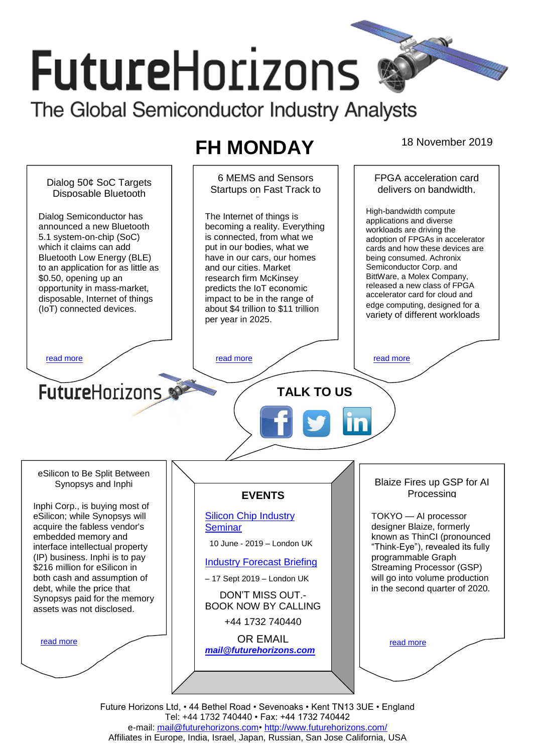# **FutureHorizons** The Global Semiconductor Industry Analysts

## **FH MONDAY** 18 November 2019



e-mail: [mail@futurehorizons.com•](../FH%20Monday%20-%202017/mail@futurehorizons.com)<http://www.futurehorizons.com/> Affiliates in Europe, India, Israel, Japan, Russian, San Jose California, USA